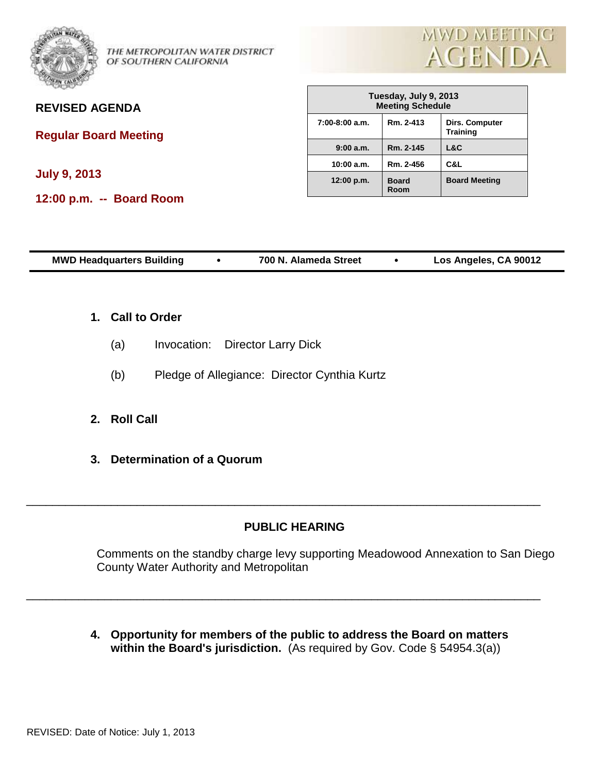

THE METROPOLITAN WATER DISTRICT OF SOUTHERN CALIFORNIA



### **REVISED AGENDA**

**Regular Board Meeting** 

**July 9, 2013**

**12:00 p.m. -- Board Room**

| Tuesday, July 9, 2013<br><b>Meeting Schedule</b> |                      |                                   |  |  |  |
|--------------------------------------------------|----------------------|-----------------------------------|--|--|--|
| $7:00-8:00$ a.m.                                 | Rm. 2-413            | Dirs. Computer<br><b>Training</b> |  |  |  |
| 9:00 a.m.                                        | Rm. 2-145            | L&C                               |  |  |  |
| 10:00 a.m.                                       | Rm. 2-456            | C&L                               |  |  |  |
| 12:00 p.m.                                       | <b>Board</b><br>Room | <b>Board Meeting</b>              |  |  |  |

| <b>MWD Headquarters Building</b> | 700 N. Alameda Street | Los Angeles, CA 90012 |  |
|----------------------------------|-----------------------|-----------------------|--|
|                                  |                       |                       |  |

- **1. Call to Order**
	- (a) Invocation: Director Larry Dick
	- (b) Pledge of Allegiance: Director Cynthia Kurtz
- **2. Roll Call**
- **3. Determination of a Quorum**

#### **PUBLIC HEARING**

\_\_\_\_\_\_\_\_\_\_\_\_\_\_\_\_\_\_\_\_\_\_\_\_\_\_\_\_\_\_\_\_\_\_\_\_\_\_\_\_\_\_\_\_\_\_\_\_\_\_\_\_\_\_\_\_\_\_\_\_\_\_\_\_\_\_\_\_\_\_\_\_\_\_\_\_\_\_\_

\_\_\_\_\_\_\_\_\_\_\_\_\_\_\_\_\_\_\_\_\_\_\_\_\_\_\_\_\_\_\_\_\_\_\_\_\_\_\_\_\_\_\_\_\_\_\_\_\_\_\_\_\_\_\_\_\_\_\_\_\_\_\_\_\_\_\_\_\_\_\_\_\_\_\_\_\_\_\_

Comments on the standby charge levy supporting Meadowood Annexation to San Diego County Water Authority and Metropolitan

**4. Opportunity for members of the public to address the Board on matters within the Board's jurisdiction.** (As required by Gov. Code § 54954.3(a))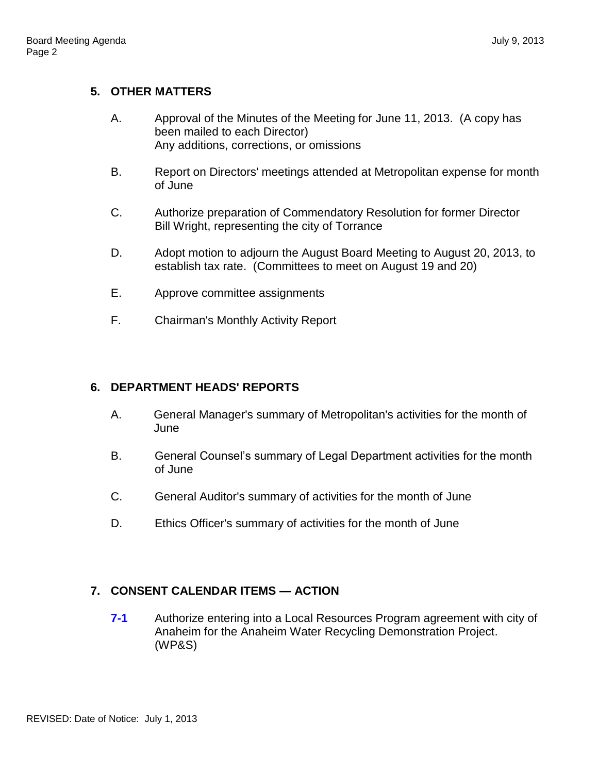### **5. OTHER MATTERS**

- A. Approval of the Minutes of the Meeting for June 11, 2013. (A copy has been mailed to each Director) Any additions, corrections, or omissions
- B. Report on Directors' meetings attended at Metropolitan expense for month of June
- C. Authorize preparation of Commendatory Resolution for former Director Bill Wright, representing the city of Torrance
- D. Adopt motion to adjourn the August Board Meeting to August 20, 2013, to establish tax rate. (Committees to meet on August 19 and 20)
- E. Approve committee assignments
- F. Chairman's Monthly Activity Report

## **6. DEPARTMENT HEADS' REPORTS**

- A. General Manager's summary of Metropolitan's activities for the month of June
- B. General Counsel's summary of Legal Department activities for the month of June
- C. General Auditor's summary of activities for the month of June
- D. Ethics Officer's summary of activities for the month of June

# **7. CONSENT CALENDAR ITEMS — ACTION**

**7-1** Authorize entering into a Local Resources Program agreement with city of Anaheim for the Anaheim Water Recycling Demonstration Project. (WP&S)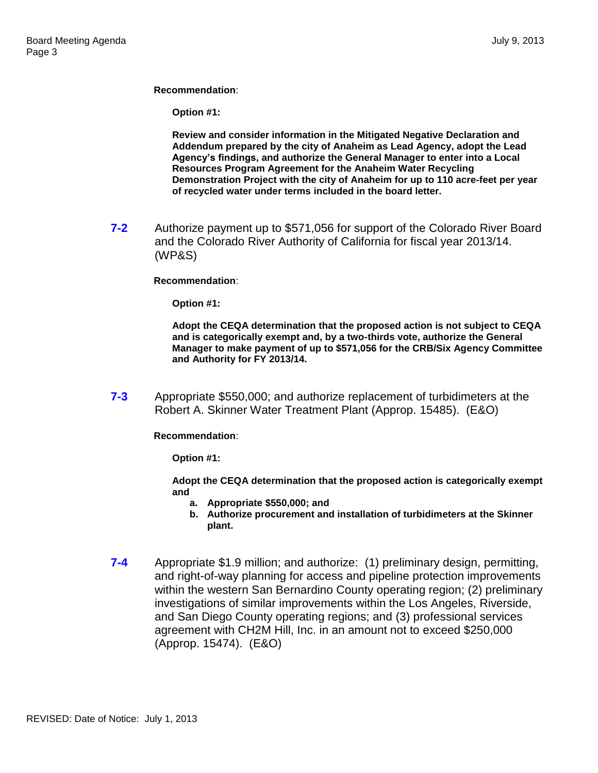**Recommendation**:

**Option #1:**

**Review and consider information in the Mitigated Negative Declaration and Addendum prepared by the city of Anaheim as Lead Agency, adopt the Lead Agency's findings, and authorize the General Manager to enter into a Local Resources Program Agreement for the Anaheim Water Recycling Demonstration Project with the city of Anaheim for up to 110 acre-feet per year of recycled water under terms included in the board letter.**

**7-2** Authorize payment up to \$571,056 for support of the Colorado River Board and the Colorado River Authority of California for fiscal year 2013/14. (WP&S)

#### **Recommendation**:

**Option #1:**

**Adopt the CEQA determination that the proposed action is not subject to CEQA and is categorically exempt and, by a two-thirds vote, authorize the General Manager to make payment of up to \$571,056 for the CRB/Six Agency Committee and Authority for FY 2013/14.**

**7-3** Appropriate \$550,000; and authorize replacement of turbidimeters at the Robert A. Skinner Water Treatment Plant (Approp. 15485). (E&O)

**Recommendation**:

**Option #1:**

**Adopt the CEQA determination that the proposed action is categorically exempt and** 

- **a. Appropriate \$550,000; and**
- **b. Authorize procurement and installation of turbidimeters at the Skinner plant.**
- **7-4** Appropriate \$1.9 million; and authorize: (1) preliminary design, permitting, and right-of-way planning for access and pipeline protection improvements within the western San Bernardino County operating region; (2) preliminary investigations of similar improvements within the Los Angeles, Riverside, and San Diego County operating regions; and (3) professional services agreement with CH2M Hill, Inc. in an amount not to exceed \$250,000 (Approp. 15474). (E&O)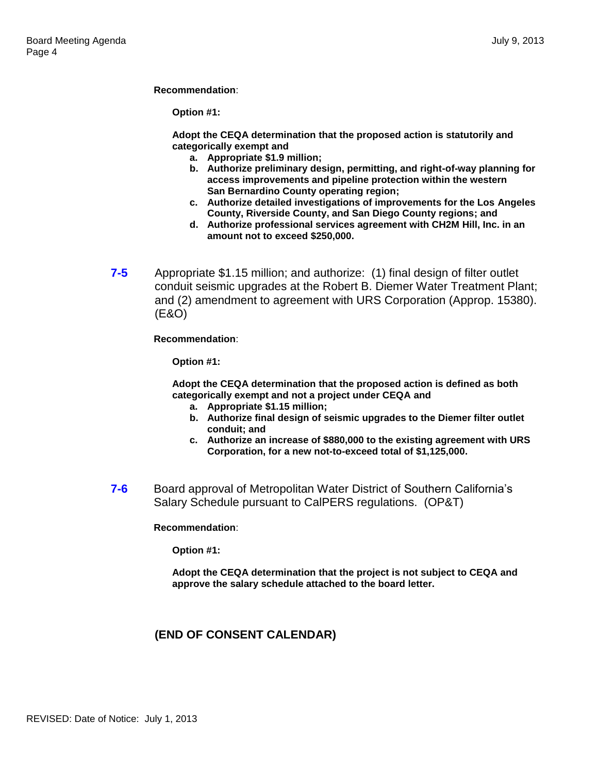**Recommendation**:

**Option #1:**

**Adopt the CEQA determination that the proposed action is statutorily and categorically exempt and** 

- **a. Appropriate \$1.9 million;**
- **b. Authorize preliminary design, permitting, and right-of-way planning for access improvements and pipeline protection within the western San Bernardino County operating region;**
- **c. Authorize detailed investigations of improvements for the Los Angeles County, Riverside County, and San Diego County regions; and**
- **d. Authorize professional services agreement with CH2M Hill, Inc. in an amount not to exceed \$250,000.**
- **7-5** Appropriate \$1.15 million; and authorize: (1) final design of filter outlet conduit seismic upgrades at the Robert B. Diemer Water Treatment Plant; and (2) amendment to agreement with URS Corporation (Approp. 15380). (E&O)

**Recommendation**:

**Option #1:**

**Adopt the CEQA determination that the proposed action is defined as both categorically exempt and not a project under CEQA and** 

- **a. Appropriate \$1.15 million;**
- **b. Authorize final design of seismic upgrades to the Diemer filter outlet conduit; and**
- **c. Authorize an increase of \$880,000 to the existing agreement with URS Corporation, for a new not-to-exceed total of \$1,125,000.**
- **7-6** Board approval of Metropolitan Water District of Southern California's Salary Schedule pursuant to CalPERS regulations. (OP&T)

**Recommendation**:

**Option #1:**

**Adopt the CEQA determination that the project is not subject to CEQA and approve the salary schedule attached to the board letter.**

#### **(END OF CONSENT CALENDAR)**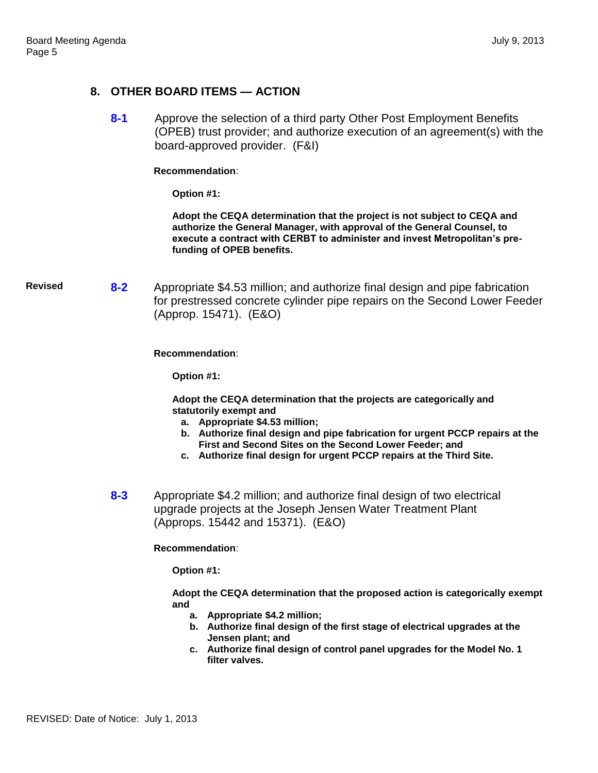### **8. OTHER BOARD ITEMS — ACTION**

**8-1** Approve the selection of a third party Other Post Employment Benefits (OPEB) trust provider; and authorize execution of an agreement(s) with the board-approved provider. (F&I)

**Recommendation**:

**Option #1:**

**Adopt the CEQA determination that the project is not subject to CEQA and authorize the General Manager, with approval of the General Counsel, to execute a contract with CERBT to administer and invest Metropolitan's prefunding of OPEB benefits.**

**Revised 8-2** Appropriate \$4.53 million; and authorize final design and pipe fabrication for prestressed concrete cylinder pipe repairs on the Second Lower Feeder (Approp. 15471). (E&O)

**Recommendation**:

**Option #1:**

**Adopt the CEQA determination that the projects are categorically and statutorily exempt and** 

- **a. Appropriate \$4.53 million;**
- **b. Authorize final design and pipe fabrication for urgent PCCP repairs at the First and Second Sites on the Second Lower Feeder; and**
- **c. Authorize final design for urgent PCCP repairs at the Third Site.**
- **8-3** Appropriate \$4.2 million; and authorize final design of two electrical upgrade projects at the Joseph Jensen Water Treatment Plant (Approps. 15442 and 15371). (E&O)

**Recommendation**:

**Option #1:**

**Adopt the CEQA determination that the proposed action is categorically exempt and** 

- **a. Appropriate \$4.2 million;**
- **b. Authorize final design of the first stage of electrical upgrades at the Jensen plant; and**
- **c. Authorize final design of control panel upgrades for the Model No. 1 filter valves.**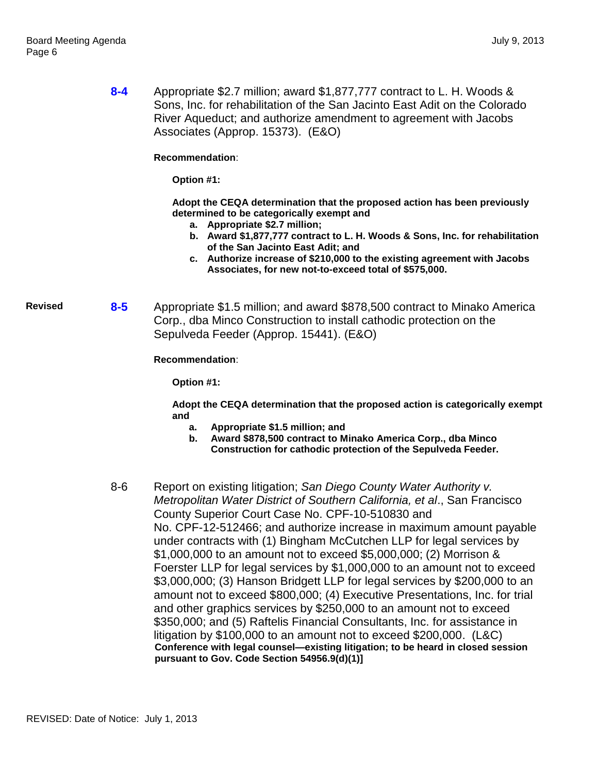|                | $8 - 4$ | Appropriate \$2.7 million; award \$1,877,777 contract to L. H. Woods &<br>Sons, Inc. for rehabilitation of the San Jacinto East Adit on the Colorado<br>River Aqueduct; and authorize amendment to agreement with Jacobs<br>Associates (Approp. 15373). (E&O)                                                                                                                                                                                                                                                                                                                                                                                                                                                                                                                                                                                                                                                                                                                                                                     |
|----------------|---------|-----------------------------------------------------------------------------------------------------------------------------------------------------------------------------------------------------------------------------------------------------------------------------------------------------------------------------------------------------------------------------------------------------------------------------------------------------------------------------------------------------------------------------------------------------------------------------------------------------------------------------------------------------------------------------------------------------------------------------------------------------------------------------------------------------------------------------------------------------------------------------------------------------------------------------------------------------------------------------------------------------------------------------------|
|                |         | Recommendation:                                                                                                                                                                                                                                                                                                                                                                                                                                                                                                                                                                                                                                                                                                                                                                                                                                                                                                                                                                                                                   |
|                |         | Option #1:                                                                                                                                                                                                                                                                                                                                                                                                                                                                                                                                                                                                                                                                                                                                                                                                                                                                                                                                                                                                                        |
|                |         | Adopt the CEQA determination that the proposed action has been previously<br>determined to be categorically exempt and<br>a. Appropriate \$2.7 million;<br>b. Award \$1,877,777 contract to L. H. Woods & Sons, Inc. for rehabilitation<br>of the San Jacinto East Adit; and<br>c. Authorize increase of \$210,000 to the existing agreement with Jacobs<br>Associates, for new not-to-exceed total of \$575,000.                                                                                                                                                                                                                                                                                                                                                                                                                                                                                                                                                                                                                 |
| <b>Revised</b> | $8 - 5$ | Appropriate \$1.5 million; and award \$878,500 contract to Minako America<br>Corp., dba Minco Construction to install cathodic protection on the<br>Sepulveda Feeder (Approp. 15441). (E&O)                                                                                                                                                                                                                                                                                                                                                                                                                                                                                                                                                                                                                                                                                                                                                                                                                                       |
|                |         | Recommendation:                                                                                                                                                                                                                                                                                                                                                                                                                                                                                                                                                                                                                                                                                                                                                                                                                                                                                                                                                                                                                   |
|                |         | Option #1:                                                                                                                                                                                                                                                                                                                                                                                                                                                                                                                                                                                                                                                                                                                                                                                                                                                                                                                                                                                                                        |
|                |         | Adopt the CEQA determination that the proposed action is categorically exempt                                                                                                                                                                                                                                                                                                                                                                                                                                                                                                                                                                                                                                                                                                                                                                                                                                                                                                                                                     |
|                |         | and<br>Appropriate \$1.5 million; and<br>а.<br>Award \$878,500 contract to Minako America Corp., dba Minco<br>b.<br>Construction for cathodic protection of the Sepulveda Feeder.                                                                                                                                                                                                                                                                                                                                                                                                                                                                                                                                                                                                                                                                                                                                                                                                                                                 |
|                | $8 - 6$ | Report on existing litigation; San Diego County Water Authority v.<br>Metropolitan Water District of Southern California, et al., San Francisco<br>County Superior Court Case No. CPF-10-510830 and<br>No. CPF-12-512466; and authorize increase in maximum amount payable<br>under contracts with (1) Bingham McCutchen LLP for legal services by<br>\$1,000,000 to an amount not to exceed \$5,000,000; (2) Morrison &<br>Foerster LLP for legal services by \$1,000,000 to an amount not to exceed<br>\$3,000,000; (3) Hanson Bridgett LLP for legal services by \$200,000 to an<br>amount not to exceed \$800,000; (4) Executive Presentations, Inc. for trial<br>and other graphics services by \$250,000 to an amount not to exceed<br>\$350,000; and (5) Raftelis Financial Consultants, Inc. for assistance in<br>litigation by \$100,000 to an amount not to exceed \$200,000. (L&C)<br>Conference with legal counsel-existing litigation; to be heard in closed session<br>pursuant to Gov. Code Section 54956.9(d)(1)] |